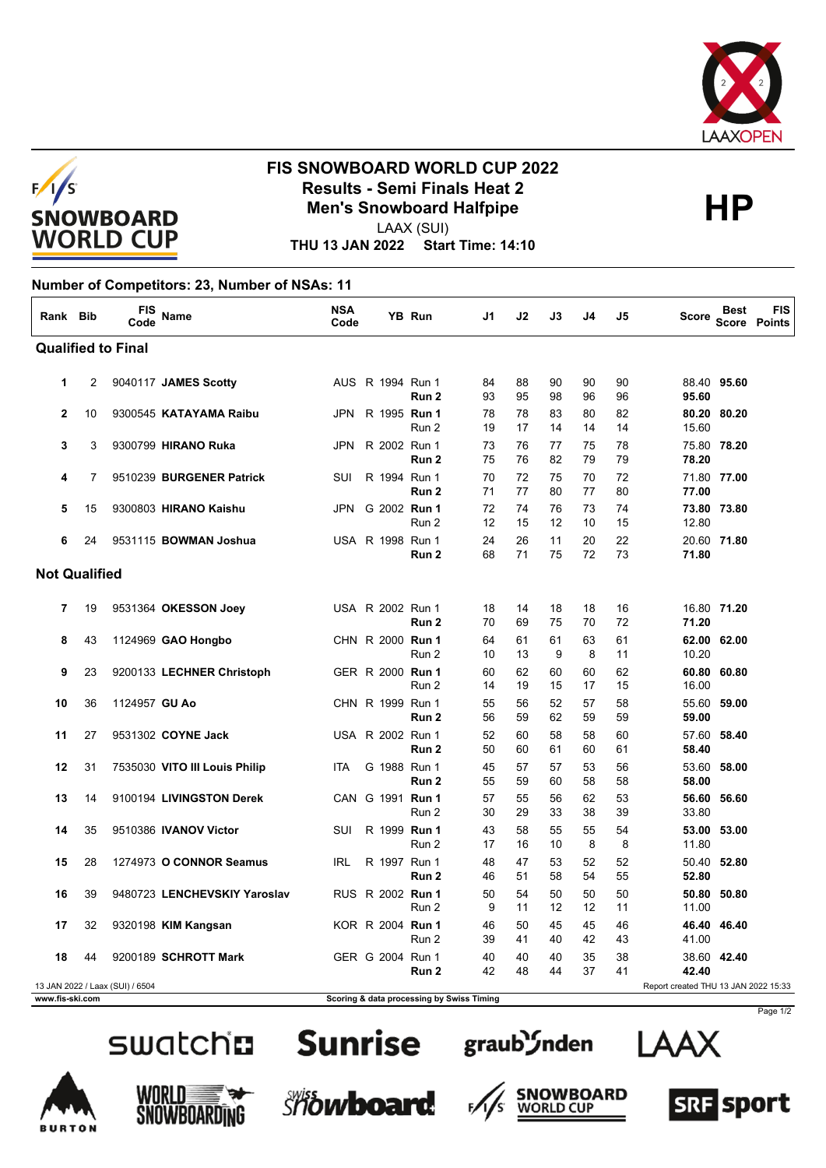



## **FIS SNOWBOARD WORLD CUP 2022 Results - Semi Finals Heat 2**<br>
Men's Snowboard Halfpipe<br>
HAAY (SHI)

LAAX (SUI)

**THU 13 JAN 2022 Start Time: 14:10**

## **Number of Competitors: 23, Number of NSAs: 11**

| Rank Bib             |    | FIS<br>Code                     | <b>Name</b>                   | <b>NSA</b><br>Code |  | YB Run                                    | J1       | J2       | J3       | J4       | J5       | <b>Score</b>                         | <b>Best</b> | <b>FIS</b><br><b>Score Points</b> |
|----------------------|----|---------------------------------|-------------------------------|--------------------|--|-------------------------------------------|----------|----------|----------|----------|----------|--------------------------------------|-------------|-----------------------------------|
|                      |    | <b>Qualified to Final</b>       |                               |                    |  |                                           |          |          |          |          |          |                                      |             |                                   |
| 1                    | 2  |                                 | 9040117 JAMES Scotty          |                    |  | AUS R 1994 Run 1<br>Run 2                 | 84<br>93 | 88<br>95 | 90<br>98 | 90<br>96 | 90<br>96 | 95.60                                | 88.40 95.60 |                                   |
| $\overline{2}$       | 10 |                                 | 9300545 KATAYAMA Raibu        | <b>JPN</b>         |  | R 1995 Run 1<br>Run 2                     | 78<br>19 | 78<br>17 | 83<br>14 | 80<br>14 | 82<br>14 | 15.60                                | 80.20 80.20 |                                   |
| 3                    | 3  |                                 | 9300799 HIRANO Ruka           | JPN                |  | R 2002 Run 1<br>Run 2                     | 73<br>75 | 76<br>76 | 77<br>82 | 75<br>79 | 78<br>79 | 78.20                                | 75.80 78.20 |                                   |
| 4                    | 7  |                                 | 9510239 BURGENER Patrick      | SUI                |  | R 1994 Run 1<br>Run 2                     | 70<br>71 | 72<br>77 | 75<br>80 | 70<br>77 | 72<br>80 | 77.00                                | 71.80 77.00 |                                   |
| 5                    | 15 |                                 | 9300803 HIRANO Kaishu         | JPN                |  | G 2002 Run 1<br>Run 2                     | 72<br>12 | 74<br>15 | 76<br>12 | 73<br>10 | 74<br>15 | 12.80                                | 73.80 73.80 |                                   |
| 6                    | 24 |                                 | 9531115 BOWMAN Joshua         |                    |  | USA R 1998 Run 1<br>Run 2                 | 24<br>68 | 26<br>71 | 11<br>75 | 20<br>72 | 22<br>73 | 71.80                                | 20.60 71.80 |                                   |
| <b>Not Qualified</b> |    |                                 |                               |                    |  |                                           |          |          |          |          |          |                                      |             |                                   |
| 7                    | 19 |                                 | 9531364 OKESSON Joey          |                    |  | USA R 2002 Run 1<br>Run 2                 | 18<br>70 | 14<br>69 | 18<br>75 | 18<br>70 | 16<br>72 | 71.20                                | 16.80 71.20 |                                   |
| 8                    | 43 |                                 | 1124969 GAO Hongbo            |                    |  | CHN R 2000 Run 1<br>Run 2                 | 64<br>10 | 61<br>13 | 61<br>9  | 63<br>8  | 61<br>11 | 10.20                                | 62.00 62.00 |                                   |
| 9                    | 23 |                                 | 9200133 LECHNER Christoph     |                    |  | GER R 2000 Run 1<br>Run 2                 | 60<br>14 | 62<br>19 | 60<br>15 | 60<br>17 | 62<br>15 | 16.00                                | 60.80 60.80 |                                   |
| 10                   | 36 | 1124957 GU Ao                   |                               |                    |  | CHN R 1999 Run 1<br>Run 2                 | 55<br>56 | 56<br>59 | 52<br>62 | 57<br>59 | 58<br>59 | 59.00                                | 55.60 59.00 |                                   |
| 11                   | 27 |                                 | 9531302 COYNE Jack            |                    |  | USA R 2002 Run 1<br>Run 2                 | 52<br>50 | 60<br>60 | 58<br>61 | 58<br>60 | 60<br>61 | 58.40                                | 57.60 58.40 |                                   |
| 12                   | 31 |                                 | 7535030 VITO III Louis Philip | <b>ITA</b>         |  | G 1988 Run 1<br>Run 2                     | 45<br>55 | 57<br>59 | 57<br>60 | 53<br>58 | 56<br>58 | 58.00                                | 53.60 58.00 |                                   |
| 13                   | 14 |                                 | 9100194 LIVINGSTON Derek      |                    |  | CAN G 1991 Run 1<br>Run 2                 | 57<br>30 | 55<br>29 | 56<br>33 | 62<br>38 | 53<br>39 | 33.80                                | 56.60 56.60 |                                   |
| 14                   | 35 |                                 | 9510386 IVANOV Victor         | SUI                |  | R 1999 Run 1<br>Run 2                     | 43<br>17 | 58<br>16 | 55<br>10 | 55<br>8  | 54<br>8  | 11.80                                | 53.00 53.00 |                                   |
| 15                   | 28 |                                 | 1274973 O CONNOR Seamus       | <b>IRL</b>         |  | R 1997 Run 1<br>Run 2                     | 48<br>46 | 47<br>51 | 53<br>58 | 52<br>54 | 52<br>55 | 52.80                                | 50.40 52.80 |                                   |
| 16                   | 39 |                                 | 9480723 LENCHEVSKIY Yaroslav  |                    |  | RUS R 2002 Run 1<br>Run 2                 | 50<br>9  | 54<br>11 | 50<br>12 | 50<br>12 | 50<br>11 | 11.00                                | 50.80 50.80 |                                   |
| 17                   | 32 |                                 | 9320198 KIM Kangsan           |                    |  | KOR R 2004 Run 1<br>Run 2                 | 46<br>39 | 50<br>41 | 45<br>40 | 45<br>42 | 46<br>43 | 41.00                                | 46.40 46.40 |                                   |
| 18                   | 44 |                                 | 9200189 SCHROTT Mark          |                    |  | GER G 2004 Run 1<br>Run 2                 | 40<br>42 | 40<br>48 | 40<br>44 | 35<br>37 | 38<br>41 | 42.40                                | 38.60 42.40 |                                   |
| www.fis-ski.com      |    | 13 JAN 2022 / Laax (SUI) / 6504 |                               |                    |  | Scoring & data processing by Swiss Timing |          |          |          |          |          | Report created THU 13 JAN 2022 15:33 |             |                                   |

















Page 1/2